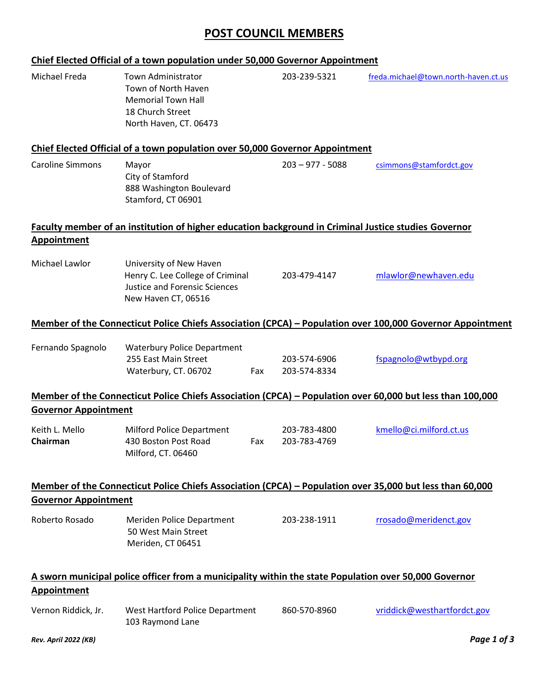### **POST COUNCIL MEMBERS**

# **Chief Elected Official of a town population under 50,000 Governor Appointment** Michael Freda Town Administrator 203-239-5321 [freda.michael@town.north-haven.ct.us](mailto:freda.michael@town.north-haven.ct.us) Town of North Haven Memorial Town Hall 18 Church Street North Haven, CT. 06473 **Chief Elected Official of a town population over 50,000 Governor Appointment** Caroline Simmons Mayor 203 – 977 - 5088 [csimmons@stamfordct.gov](mailto:csimmons@stamfordct.gov) City of Stamford 888 Washington Boulevard Stamford, CT 06901 **Faculty member of an institution of higher education background in Criminal Justice studies Governor Appointment** Michael Lawlor University of New Haven Henry C. Lee College of Criminal 203-479-4147 [mlawlor@newhaven.edu](mailto:mlawlor@newhaven.edu) Justice and Forensic Sciences New Haven CT, 06516 **Member of the Connecticut Police Chiefs Association (CPCA) – Population over 100,000 Governor Appointment** Fernando Spagnolo Waterbury Police Department 255 East Main Street 203-574-6906 [fspagnolo@wtbypd.org](mailto:fspagnolo@wtbypd.org) Waterbury, CT. 06702 Fax 203-574-8334 **Member of the Connecticut Police Chiefs Association (CPCA) – Population over 60,000 but less than 100,000 Governor Appointment**  Keith L. Mello Milford Police Department 203-783-4800 [kmello@ci.milford.ct.us](mailto:kmello@ci.milford.ct.us) **Chairman** 430 Boston Post Road Fax 203-783-4769 Milford, CT. 06460 **Member of the Connecticut Police Chiefs Association (CPCA) – Population over 35,000 but less than 60,000 Governor Appointment**  Roberto Rosado Meriden Police Department 203-238-1911 [rrosado@meridenct.gov](mailto:rrosado@meridenct.gov) 50 West Main Street Meriden, CT 06451 **A sworn municipal police officer from a municipality within the state Population over 50,000 Governor Appointment**  Vernon Riddick, Jr. West Hartford Police Department 860-570-8960 [vriddick@westhartfordct.gov](mailto:vriddick@westhartfordct.gov) 103 Raymond Lane

#### *Rev. April 2022 (KB) Page 1 of 3*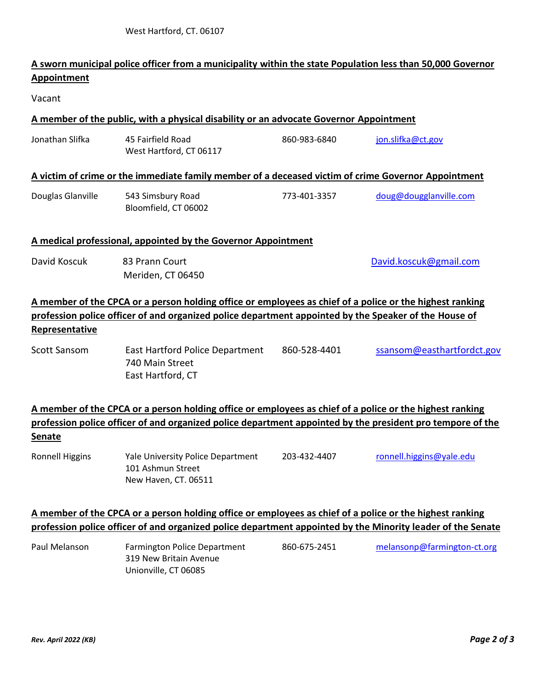101 Ashmun Street New Haven, CT. 06511

### **A sworn municipal police officer from a municipality within the state Population less than 50,000 Governor Appointment**

Vacant

#### **A member of the public, with a physical disability or an advocate Governor Appointment**

| Jonathan Slifka                                                                                                                                                                                                                     | 45 Fairfield Road<br>West Hartford, CT 06117                                                                                                                                                                           | 860-983-6840 | jon.slifka@ct.gov          |  |  |  |
|-------------------------------------------------------------------------------------------------------------------------------------------------------------------------------------------------------------------------------------|------------------------------------------------------------------------------------------------------------------------------------------------------------------------------------------------------------------------|--------------|----------------------------|--|--|--|
|                                                                                                                                                                                                                                     | A victim of crime or the immediate family member of a deceased victim of crime Governor Appointment                                                                                                                    |              |                            |  |  |  |
| Douglas Glanville                                                                                                                                                                                                                   | 543 Simsbury Road<br>Bloomfield, CT 06002                                                                                                                                                                              | 773-401-3357 | doug@dougglanville.com     |  |  |  |
| A medical professional, appointed by the Governor Appointment                                                                                                                                                                       |                                                                                                                                                                                                                        |              |                            |  |  |  |
| David Koscuk                                                                                                                                                                                                                        | 83 Prann Court<br>Meriden, CT 06450                                                                                                                                                                                    |              | David.koscuk@gmail.com     |  |  |  |
| A member of the CPCA or a person holding office or employees as chief of a police or the highest ranking<br>profession police officer of and organized police department appointed by the Speaker of the House of<br>Representative |                                                                                                                                                                                                                        |              |                            |  |  |  |
| <b>Scott Sansom</b>                                                                                                                                                                                                                 | East Hartford Police Department<br>740 Main Street<br>East Hartford, CT                                                                                                                                                | 860-528-4401 | ssansom@easthartfordct.gov |  |  |  |
| <b>Senate</b>                                                                                                                                                                                                                       | A member of the CPCA or a person holding office or employees as chief of a police or the highest ranking<br>profession police officer of and organized police department appointed by the president pro tempore of the |              |                            |  |  |  |
| <b>Ronnell Higgins</b>                                                                                                                                                                                                              | Yale University Police Department                                                                                                                                                                                      | 203-432-4407 | ronnell.higgins@yale.edu   |  |  |  |

## **A member of the CPCA or a person holding office or employees as chief of a police or the highest ranking profession police officer of and organized police department appointed by the Minority leader of the Senate**

| Paul Melanson | Farmington Police Department | 860-675-2451 | melansonp@farmington-ct.org |
|---------------|------------------------------|--------------|-----------------------------|
|               | 319 New Britain Avenue       |              |                             |
|               | Unionville, CT 06085         |              |                             |